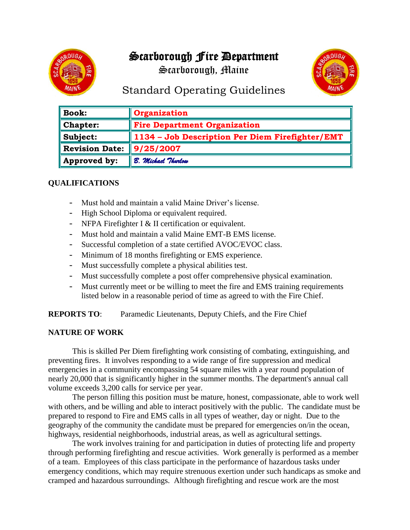# Scarborough Fire Department

Scarborough, Maine



## Standard Operating Guidelines

| <b>Book:</b>          | <b>Organization</b>                             |
|-----------------------|-------------------------------------------------|
| <b>Chapter:</b>       | <b>Fire Department Organization</b>             |
| Subject:              | 1134 - Job Description Per Diem Firefighter/EMT |
| <b>Revision Date:</b> | $\parallel$ 9/25/2007                           |
| Approved by:          | B. Michael Thurlow                              |

### **QUALIFICATIONS**

- Must hold and maintain a valid Maine Driver's license.
- High School Diploma or equivalent required.
- NFPA Firefighter I & II certification or equivalent.
- Must hold and maintain a valid Maine EMT-B EMS license.
- Successful completion of a state certified AVOC/EVOC class.
- Minimum of 18 months firefighting or EMS experience.
- Must successfully complete a physical abilities test.
- Must successfully complete a post offer comprehensive physical examination.
- Must currently meet or be willing to meet the fire and EMS training requirements listed below in a reasonable period of time as agreed to with the Fire Chief.

**REPORTS TO**: Paramedic Lieutenants, Deputy Chiefs, and the Fire Chief

#### **NATURE OF WORK**

This is skilled Per Diem firefighting work consisting of combating, extinguishing, and preventing fires. It involves responding to a wide range of fire suppression and medical emergencies in a community encompassing 54 square miles with a year round population of nearly 20,000 that is significantly higher in the summer months. The department's annual call volume exceeds 3,200 calls for service per year.

The person filling this position must be mature, honest, compassionate, able to work well with others, and be willing and able to interact positively with the public. The candidate must be prepared to respond to Fire and EMS calls in all types of weather, day or night. Due to the geography of the community the candidate must be prepared for emergencies on/in the ocean, highways, residential neighborhoods, industrial areas, as well as agricultural settings.

The work involves training for and participation in duties of protecting life and property through performing firefighting and rescue activities. Work generally is performed as a member of a team. Employees of this class participate in the performance of hazardous tasks under emergency conditions, which may require strenuous exertion under such handicaps as smoke and cramped and hazardous surroundings. Although firefighting and rescue work are the most